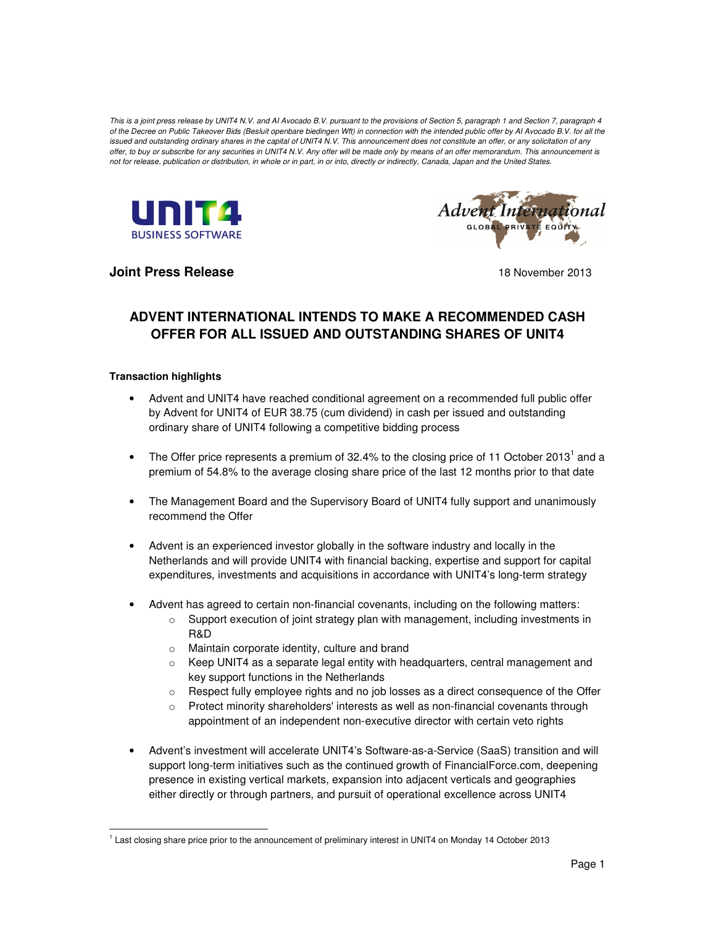This is a joint press release by UNIT4 N.V. and AI Avocado B.V. pursuant to the provisions of Section 5, paragraph 1 and Section 7, paragraph 4 of the Decree on Public Takeover Bids (Besluit openbare biedingen Wft) in connection with the intended public offer by AI Avocado B.V. for all the issued and outstanding ordinary shares in the capital of UNIT4 N.V. This announcement does not constitute an offer, or any solicitation of any offer, to buy or subscribe for any securities in UNIT4 N.V. Any offer will be made only by means of an offer memorandum. This announcement is not for release, publication or distribution, in whole or in part, in or into, directly or indirectly, Canada, Japan and the United States.





**Joint Press Release 18 November 2013** 

# **ADVENT INTERNATIONAL INTENDS TO MAKE A RECOMMENDED CASH OFFER FOR ALL ISSUED AND OUTSTANDING SHARES OF UNIT4**

#### **Transaction highlights**

<u>.</u>

- Advent and UNIT4 have reached conditional agreement on a recommended full public offer by Advent for UNIT4 of EUR 38.75 (cum dividend) in cash per issued and outstanding ordinary share of UNIT4 following a competitive bidding process
- The Offer price represents a premium of 32.4% to the closing price of 11 October 2013<sup>1</sup> and a premium of 54.8% to the average closing share price of the last 12 months prior to that date
- The Management Board and the Supervisory Board of UNIT4 fully support and unanimously recommend the Offer
- Advent is an experienced investor globally in the software industry and locally in the Netherlands and will provide UNIT4 with financial backing, expertise and support for capital expenditures, investments and acquisitions in accordance with UNIT4's long-term strategy
- Advent has agreed to certain non-financial covenants, including on the following matters:
	- $\circ$  Support execution of joint strategy plan with management, including investments in R&D
	- o Maintain corporate identity, culture and brand
	- $\circ$  Keep UNIT4 as a separate legal entity with headquarters, central management and key support functions in the Netherlands
	- $\circ$  Respect fully employee rights and no job losses as a direct consequence of the Offer
	- $\circ$  Protect minority shareholders' interests as well as non-financial covenants through appointment of an independent non-executive director with certain veto rights
- Advent's investment will accelerate UNIT4's Software-as-a-Service (SaaS) transition and will support long-term initiatives such as the continued growth of FinancialForce.com, deepening presence in existing vertical markets, expansion into adjacent verticals and geographies either directly or through partners, and pursuit of operational excellence across UNIT4

<sup>&</sup>lt;sup>1</sup> Last closing share price prior to the announcement of preliminary interest in UNIT4 on Monday 14 October 2013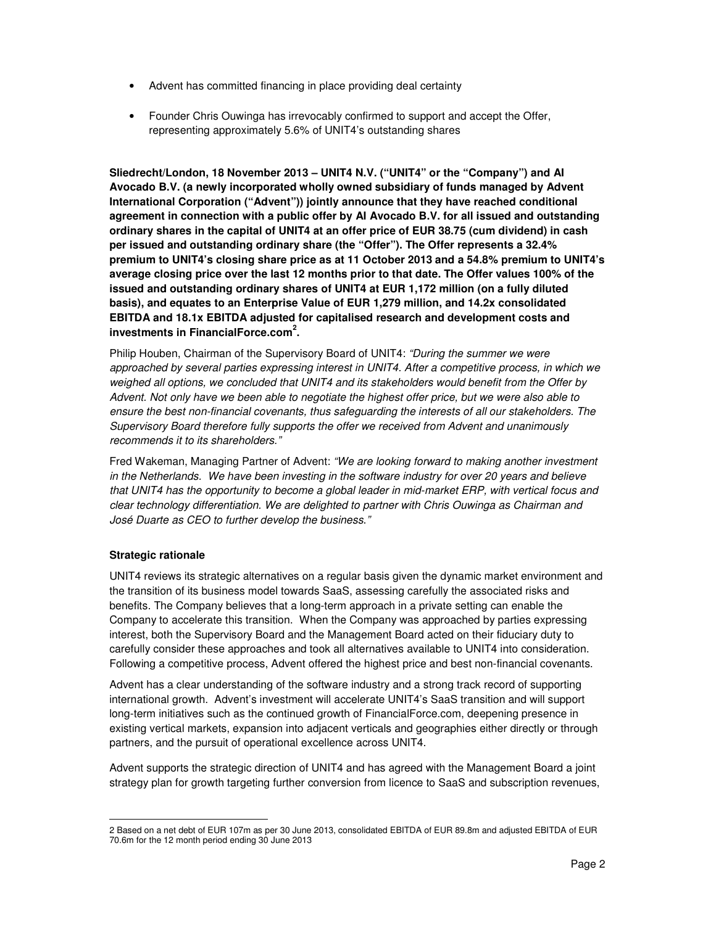- Advent has committed financing in place providing deal certainty
- Founder Chris Ouwinga has irrevocably confirmed to support and accept the Offer, representing approximately 5.6% of UNIT4's outstanding shares

**Sliedrecht/London, 18 November 2013 – UNIT4 N.V. ("UNIT4" or the "Company") and AI Avocado B.V. (a newly incorporated wholly owned subsidiary of funds managed by Advent International Corporation ("Advent")) jointly announce that they have reached conditional agreement in connection with a public offer by AI Avocado B.V. for all issued and outstanding ordinary shares in the capital of UNIT4 at an offer price of EUR 38.75 (cum dividend) in cash per issued and outstanding ordinary share (the "Offer"). The Offer represents a 32.4% premium to UNIT4's closing share price as at 11 October 2013 and a 54.8% premium to UNIT4's average closing price over the last 12 months prior to that date. The Offer values 100% of the issued and outstanding ordinary shares of UNIT4 at EUR 1,172 million (on a fully diluted basis), and equates to an Enterprise Value of EUR 1,279 million, and 14.2x consolidated EBITDA and 18.1x EBITDA adjusted for capitalised research and development costs and investments in FinancialForce.com<sup>2</sup> .**

Philip Houben, Chairman of the Supervisory Board of UNIT4: "During the summer we were approached by several parties expressing interest in UNIT4. After a competitive process, in which we weighed all options, we concluded that UNIT4 and its stakeholders would benefit from the Offer by Advent. Not only have we been able to negotiate the highest offer price, but we were also able to ensure the best non-financial covenants, thus safeguarding the interests of all our stakeholders. The Supervisory Board therefore fully supports the offer we received from Advent and unanimously recommends it to its shareholders."

Fred Wakeman, Managing Partner of Advent: "We are looking forward to making another investment in the Netherlands. We have been investing in the software industry for over 20 years and believe that UNIT4 has the opportunity to become a global leader in mid-market ERP, with vertical focus and clear technology differentiation. We are delighted to partner with Chris Ouwinga as Chairman and José Duarte as CEO to further develop the business."

# **Strategic rationale**

 $\overline{a}$ 

UNIT4 reviews its strategic alternatives on a regular basis given the dynamic market environment and the transition of its business model towards SaaS, assessing carefully the associated risks and benefits. The Company believes that a long-term approach in a private setting can enable the Company to accelerate this transition. When the Company was approached by parties expressing interest, both the Supervisory Board and the Management Board acted on their fiduciary duty to carefully consider these approaches and took all alternatives available to UNIT4 into consideration. Following a competitive process, Advent offered the highest price and best non-financial covenants.

Advent has a clear understanding of the software industry and a strong track record of supporting international growth. Advent's investment will accelerate UNIT4's SaaS transition and will support long-term initiatives such as the continued growth of FinancialForce.com, deepening presence in existing vertical markets, expansion into adjacent verticals and geographies either directly or through partners, and the pursuit of operational excellence across UNIT4.

Advent supports the strategic direction of UNIT4 and has agreed with the Management Board a joint strategy plan for growth targeting further conversion from licence to SaaS and subscription revenues,

<sup>2</sup> Based on a net debt of EUR 107m as per 30 June 2013, consolidated EBITDA of EUR 89.8m and adjusted EBITDA of EUR 70.6m for the 12 month period ending 30 June 2013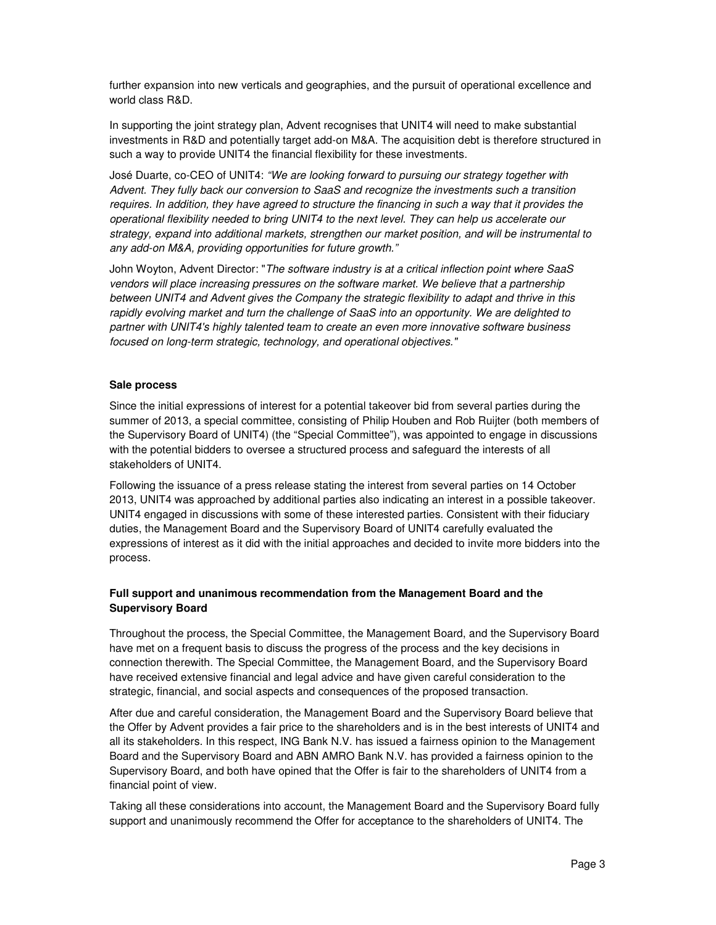further expansion into new verticals and geographies, and the pursuit of operational excellence and world class R&D.

In supporting the joint strategy plan, Advent recognises that UNIT4 will need to make substantial investments in R&D and potentially target add-on M&A. The acquisition debt is therefore structured in such a way to provide UNIT4 the financial flexibility for these investments.

José Duarte, co-CEO of UNIT4: "We are looking forward to pursuing our strategy together with Advent. They fully back our conversion to SaaS and recognize the investments such a transition requires. In addition, they have agreed to structure the financing in such a way that it provides the operational flexibility needed to bring UNIT4 to the next level. They can help us accelerate our strategy, expand into additional markets, strengthen our market position, and will be instrumental to any add-on M&A, providing opportunities for future growth."

John Woyton, Advent Director: "The software industry is at a critical inflection point where SaaS vendors will place increasing pressures on the software market. We believe that a partnership between UNIT4 and Advent gives the Company the strategic flexibility to adapt and thrive in this rapidly evolving market and turn the challenge of SaaS into an opportunity. We are delighted to partner with UNIT4's highly talented team to create an even more innovative software business focused on long-term strategic, technology, and operational objectives."

#### **Sale process**

Since the initial expressions of interest for a potential takeover bid from several parties during the summer of 2013, a special committee, consisting of Philip Houben and Rob Ruijter (both members of the Supervisory Board of UNIT4) (the "Special Committee"), was appointed to engage in discussions with the potential bidders to oversee a structured process and safeguard the interests of all stakeholders of UNIT4.

Following the issuance of a press release stating the interest from several parties on 14 October 2013, UNIT4 was approached by additional parties also indicating an interest in a possible takeover. UNIT4 engaged in discussions with some of these interested parties. Consistent with their fiduciary duties, the Management Board and the Supervisory Board of UNIT4 carefully evaluated the expressions of interest as it did with the initial approaches and decided to invite more bidders into the process.

# **Full support and unanimous recommendation from the Management Board and the Supervisory Board**

Throughout the process, the Special Committee, the Management Board, and the Supervisory Board have met on a frequent basis to discuss the progress of the process and the key decisions in connection therewith. The Special Committee, the Management Board, and the Supervisory Board have received extensive financial and legal advice and have given careful consideration to the strategic, financial, and social aspects and consequences of the proposed transaction.

After due and careful consideration, the Management Board and the Supervisory Board believe that the Offer by Advent provides a fair price to the shareholders and is in the best interests of UNIT4 and all its stakeholders. In this respect, ING Bank N.V. has issued a fairness opinion to the Management Board and the Supervisory Board and ABN AMRO Bank N.V. has provided a fairness opinion to the Supervisory Board, and both have opined that the Offer is fair to the shareholders of UNIT4 from a financial point of view.

Taking all these considerations into account, the Management Board and the Supervisory Board fully support and unanimously recommend the Offer for acceptance to the shareholders of UNIT4. The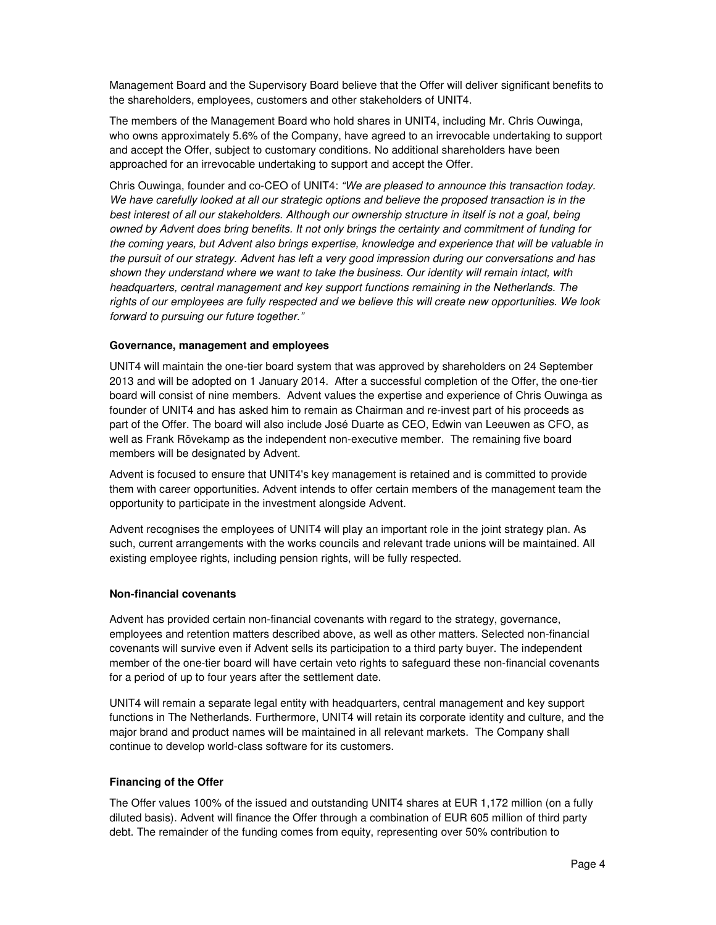Management Board and the Supervisory Board believe that the Offer will deliver significant benefits to the shareholders, employees, customers and other stakeholders of UNIT4.

The members of the Management Board who hold shares in UNIT4, including Mr. Chris Ouwinga, who owns approximately 5.6% of the Company, have agreed to an irrevocable undertaking to support and accept the Offer, subject to customary conditions. No additional shareholders have been approached for an irrevocable undertaking to support and accept the Offer.

Chris Ouwinga, founder and co-CEO of UNIT4: "We are pleased to announce this transaction today. We have carefully looked at all our strategic options and believe the proposed transaction is in the best interest of all our stakeholders. Although our ownership structure in itself is not a goal, being owned by Advent does bring benefits. It not only brings the certainty and commitment of funding for the coming years, but Advent also brings expertise, knowledge and experience that will be valuable in the pursuit of our strategy. Advent has left a very good impression during our conversations and has shown they understand where we want to take the business. Our identity will remain intact, with headquarters, central management and key support functions remaining in the Netherlands. The rights of our employees are fully respected and we believe this will create new opportunities. We look forward to pursuing our future together."

#### **Governance, management and employees**

UNIT4 will maintain the one-tier board system that was approved by shareholders on 24 September 2013 and will be adopted on 1 January 2014. After a successful completion of the Offer, the one-tier board will consist of nine members. Advent values the expertise and experience of Chris Ouwinga as founder of UNIT4 and has asked him to remain as Chairman and re-invest part of his proceeds as part of the Offer. The board will also include José Duarte as CEO, Edwin van Leeuwen as CFO, as well as Frank Rövekamp as the independent non-executive member. The remaining five board members will be designated by Advent.

Advent is focused to ensure that UNIT4's key management is retained and is committed to provide them with career opportunities. Advent intends to offer certain members of the management team the opportunity to participate in the investment alongside Advent.

Advent recognises the employees of UNIT4 will play an important role in the joint strategy plan. As such, current arrangements with the works councils and relevant trade unions will be maintained. All existing employee rights, including pension rights, will be fully respected.

#### **Non-financial covenants**

Advent has provided certain non-financial covenants with regard to the strategy, governance, employees and retention matters described above, as well as other matters. Selected non-financial covenants will survive even if Advent sells its participation to a third party buyer. The independent member of the one-tier board will have certain veto rights to safeguard these non-financial covenants for a period of up to four years after the settlement date.

UNIT4 will remain a separate legal entity with headquarters, central management and key support functions in The Netherlands. Furthermore, UNIT4 will retain its corporate identity and culture, and the major brand and product names will be maintained in all relevant markets. The Company shall continue to develop world-class software for its customers.

#### **Financing of the Offer**

The Offer values 100% of the issued and outstanding UNIT4 shares at EUR 1,172 million (on a fully diluted basis). Advent will finance the Offer through a combination of EUR 605 million of third party debt. The remainder of the funding comes from equity, representing over 50% contribution to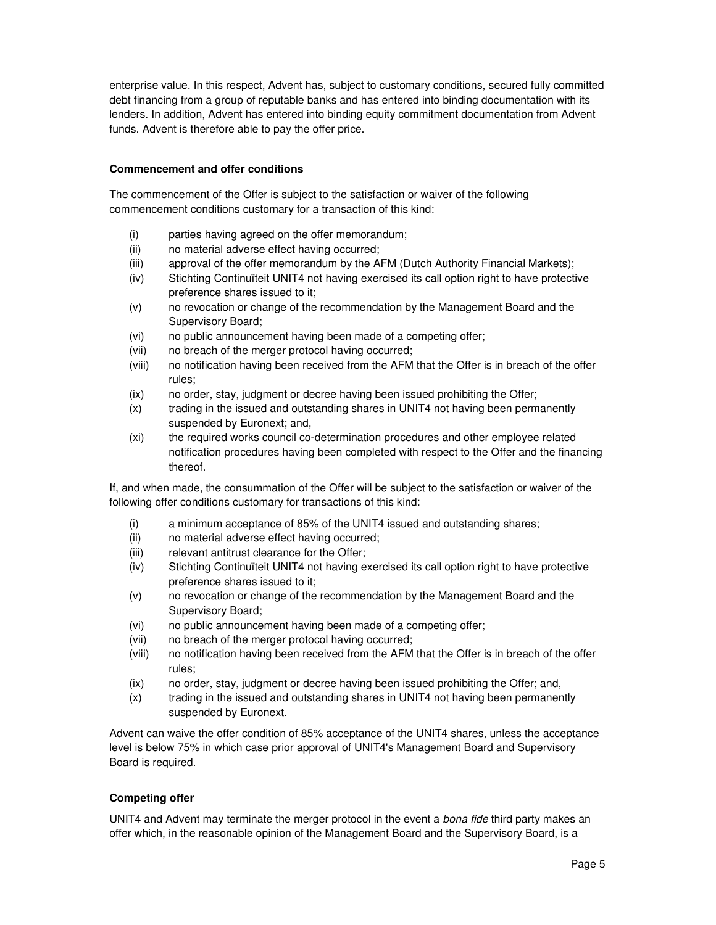enterprise value. In this respect, Advent has, subject to customary conditions, secured fully committed debt financing from a group of reputable banks and has entered into binding documentation with its lenders. In addition, Advent has entered into binding equity commitment documentation from Advent funds. Advent is therefore able to pay the offer price.

# **Commencement and offer conditions**

The commencement of the Offer is subject to the satisfaction or waiver of the following commencement conditions customary for a transaction of this kind:

- (i) parties having agreed on the offer memorandum;
- (ii) no material adverse effect having occurred;
- (iii) approval of the offer memorandum by the AFM (Dutch Authority Financial Markets);
- (iv) Stichting Continuïteit UNIT4 not having exercised its call option right to have protective preference shares issued to it;
- (v) no revocation or change of the recommendation by the Management Board and the Supervisory Board;
- (vi) no public announcement having been made of a competing offer;
- (vii) no breach of the merger protocol having occurred;
- (viii) no notification having been received from the AFM that the Offer is in breach of the offer rules;
- (ix) no order, stay, judgment or decree having been issued prohibiting the Offer;
- (x) trading in the issued and outstanding shares in UNIT4 not having been permanently suspended by Euronext; and,
- (xi) the required works council co-determination procedures and other employee related notification procedures having been completed with respect to the Offer and the financing thereof.

If, and when made, the consummation of the Offer will be subject to the satisfaction or waiver of the following offer conditions customary for transactions of this kind:

- (i) a minimum acceptance of 85% of the UNIT4 issued and outstanding shares;
- (ii) no material adverse effect having occurred;
- (iii) relevant antitrust clearance for the Offer;
- (iv) Stichting Continuïteit UNIT4 not having exercised its call option right to have protective preference shares issued to it;
- (v) no revocation or change of the recommendation by the Management Board and the Supervisory Board;
- (vi) no public announcement having been made of a competing offer;
- (vii) no breach of the merger protocol having occurred;
- (viii) no notification having been received from the AFM that the Offer is in breach of the offer rules;
- (ix) no order, stay, judgment or decree having been issued prohibiting the Offer; and,
- (x) trading in the issued and outstanding shares in UNIT4 not having been permanently suspended by Euronext.

Advent can waive the offer condition of 85% acceptance of the UNIT4 shares, unless the acceptance level is below 75% in which case prior approval of UNIT4's Management Board and Supervisory Board is required.

# **Competing offer**

UNIT4 and Advent may terminate the merger protocol in the event a *bona fide* third party makes an offer which, in the reasonable opinion of the Management Board and the Supervisory Board, is a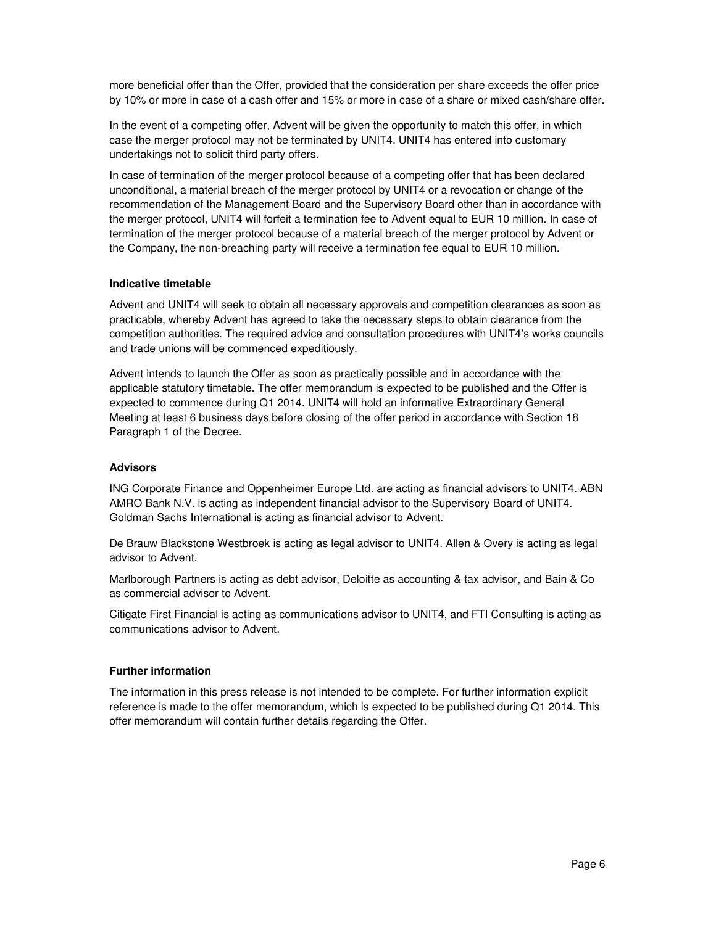more beneficial offer than the Offer, provided that the consideration per share exceeds the offer price by 10% or more in case of a cash offer and 15% or more in case of a share or mixed cash/share offer.

In the event of a competing offer, Advent will be given the opportunity to match this offer, in which case the merger protocol may not be terminated by UNIT4. UNIT4 has entered into customary undertakings not to solicit third party offers.

In case of termination of the merger protocol because of a competing offer that has been declared unconditional, a material breach of the merger protocol by UNIT4 or a revocation or change of the recommendation of the Management Board and the Supervisory Board other than in accordance with the merger protocol, UNIT4 will forfeit a termination fee to Advent equal to EUR 10 million. In case of termination of the merger protocol because of a material breach of the merger protocol by Advent or the Company, the non-breaching party will receive a termination fee equal to EUR 10 million.

#### **Indicative timetable**

Advent and UNIT4 will seek to obtain all necessary approvals and competition clearances as soon as practicable, whereby Advent has agreed to take the necessary steps to obtain clearance from the competition authorities. The required advice and consultation procedures with UNIT4's works councils and trade unions will be commenced expeditiously.

Advent intends to launch the Offer as soon as practically possible and in accordance with the applicable statutory timetable. The offer memorandum is expected to be published and the Offer is expected to commence during Q1 2014. UNIT4 will hold an informative Extraordinary General Meeting at least 6 business days before closing of the offer period in accordance with Section 18 Paragraph 1 of the Decree.

#### **Advisors**

ING Corporate Finance and Oppenheimer Europe Ltd. are acting as financial advisors to UNIT4. ABN AMRO Bank N.V. is acting as independent financial advisor to the Supervisory Board of UNIT4. Goldman Sachs International is acting as financial advisor to Advent.

De Brauw Blackstone Westbroek is acting as legal advisor to UNIT4. Allen & Overy is acting as legal advisor to Advent.

Marlborough Partners is acting as debt advisor, Deloitte as accounting & tax advisor, and Bain & Co as commercial advisor to Advent.

Citigate First Financial is acting as communications advisor to UNIT4, and FTI Consulting is acting as communications advisor to Advent.

# **Further information**

The information in this press release is not intended to be complete. For further information explicit reference is made to the offer memorandum, which is expected to be published during Q1 2014. This offer memorandum will contain further details regarding the Offer.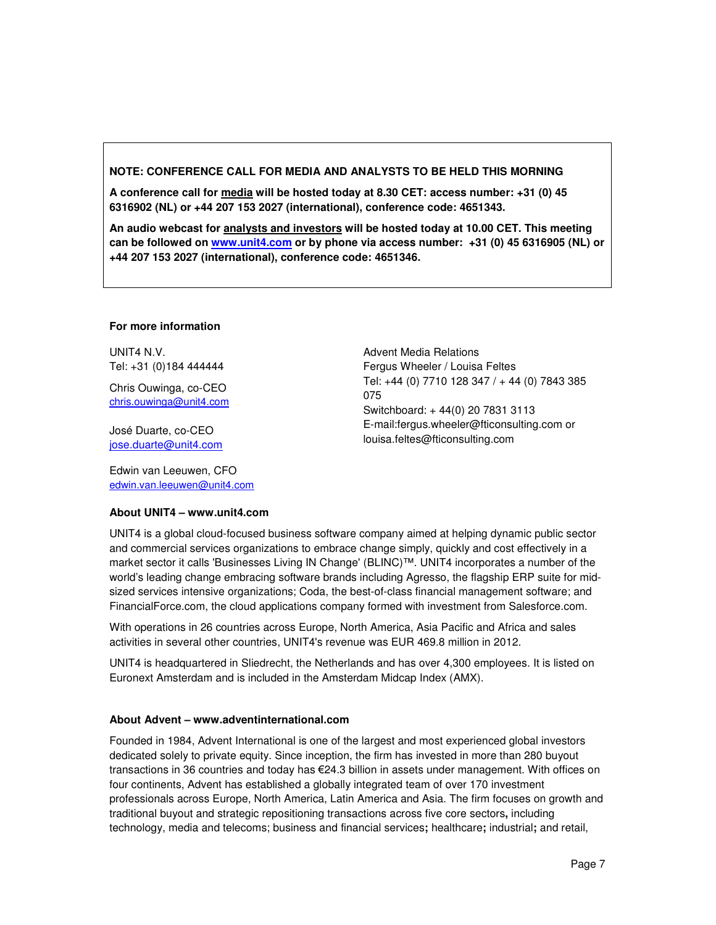## **NOTE: CONFERENCE CALL FOR MEDIA AND ANALYSTS TO BE HELD THIS MORNING**

**A conference call for media will be hosted today at 8.30 CET: access number: +31 (0) 45 6316902 (NL) or +44 207 153 2027 (international), conference code: 4651343.** 

**An audio webcast for analysts and investors will be hosted today at 10.00 CET. This meeting can be followed on www.unit4.com or by phone via access number: +31 (0) 45 6316905 (NL) or +44 207 153 2027 (international), conference code: 4651346.** 

#### **For more information**

UNIT4 N.V. Tel: +31 (0)184 444444

Chris Ouwinga, co-CEO chris.ouwinga@unit4.com

José Duarte, co-CEO jose.duarte@unit4.com

Edwin van Leeuwen, CFO edwin.van.leeuwen@unit4.com Advent Media Relations Fergus Wheeler / Louisa Feltes Tel: +44 (0) 7710 128 347 / + 44 (0) 7843 385 075 Switchboard: + 44(0) 20 7831 3113 E-mail:fergus.wheeler@fticonsulting.com or louisa.feltes@fticonsulting.com

#### **About UNIT4 – www.unit4.com**

UNIT4 is a global cloud-focused business software company aimed at helping dynamic public sector and commercial services organizations to embrace change simply, quickly and cost effectively in a market sector it calls 'Businesses Living IN Change' (BLINC)™. UNIT4 incorporates a number of the world's leading change embracing software brands including Agresso, the flagship ERP suite for midsized services intensive organizations; Coda, the best-of-class financial management software; and FinancialForce.com, the cloud applications company formed with investment from Salesforce.com.

With operations in 26 countries across Europe, North America, Asia Pacific and Africa and sales activities in several other countries, UNIT4's revenue was EUR 469.8 million in 2012.

UNIT4 is headquartered in Sliedrecht, the Netherlands and has over 4,300 employees. It is listed on Euronext Amsterdam and is included in the Amsterdam Midcap Index (AMX).

#### **About Advent – www.adventinternational.com**

Founded in 1984, Advent International is one of the largest and most experienced global investors dedicated solely to private equity. Since inception, the firm has invested in more than 280 buyout transactions in 36 countries and today has €24.3 billion in assets under management. With offices on four continents, Advent has established a globally integrated team of over 170 investment professionals across Europe, North America, Latin America and Asia. The firm focuses on growth and traditional buyout and strategic repositioning transactions across five core sectors**,** including technology, media and telecoms; business and financial services**;** healthcare**;** industrial**;** and retail,